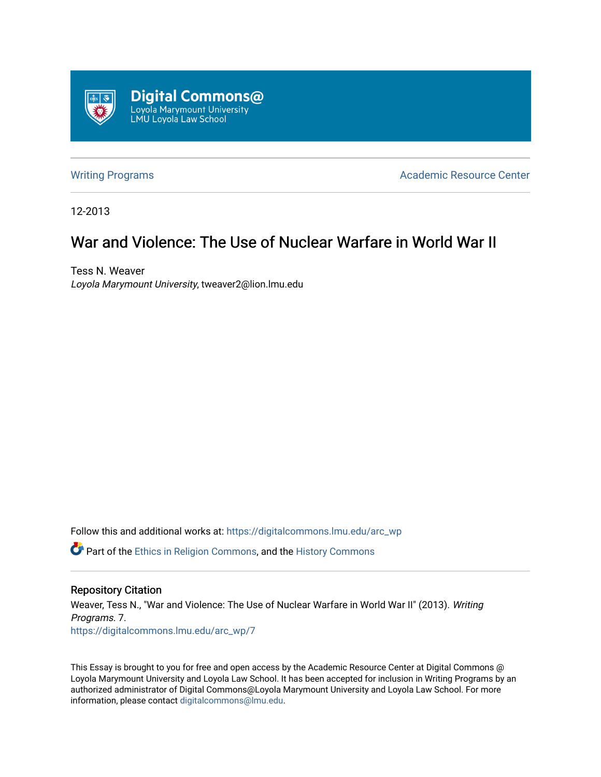

[Writing Programs](https://digitalcommons.lmu.edu/arc_wp) **Academic Resource Center** Academic Resource Center

12-2013

## War and Violence: The Use of Nuclear Warfare in World War II

Tess N. Weaver Loyola Marymount University, tweaver2@lion.lmu.edu

Follow this and additional works at: [https://digitalcommons.lmu.edu/arc\\_wp](https://digitalcommons.lmu.edu/arc_wp?utm_source=digitalcommons.lmu.edu%2Farc_wp%2F7&utm_medium=PDF&utm_campaign=PDFCoverPages)

Part of the [Ethics in Religion Commons,](http://network.bepress.com/hgg/discipline/541?utm_source=digitalcommons.lmu.edu%2Farc_wp%2F7&utm_medium=PDF&utm_campaign=PDFCoverPages) and the [History Commons](http://network.bepress.com/hgg/discipline/489?utm_source=digitalcommons.lmu.edu%2Farc_wp%2F7&utm_medium=PDF&utm_campaign=PDFCoverPages) 

## Repository Citation

Weaver, Tess N., "War and Violence: The Use of Nuclear Warfare in World War II" (2013). Writing Programs. 7. [https://digitalcommons.lmu.edu/arc\\_wp/7](https://digitalcommons.lmu.edu/arc_wp/7?utm_source=digitalcommons.lmu.edu%2Farc_wp%2F7&utm_medium=PDF&utm_campaign=PDFCoverPages)

This Essay is brought to you for free and open access by the Academic Resource Center at Digital Commons @ Loyola Marymount University and Loyola Law School. It has been accepted for inclusion in Writing Programs by an authorized administrator of Digital Commons@Loyola Marymount University and Loyola Law School. For more information, please contact [digitalcommons@lmu.edu.](mailto:digitalcommons@lmu.edu)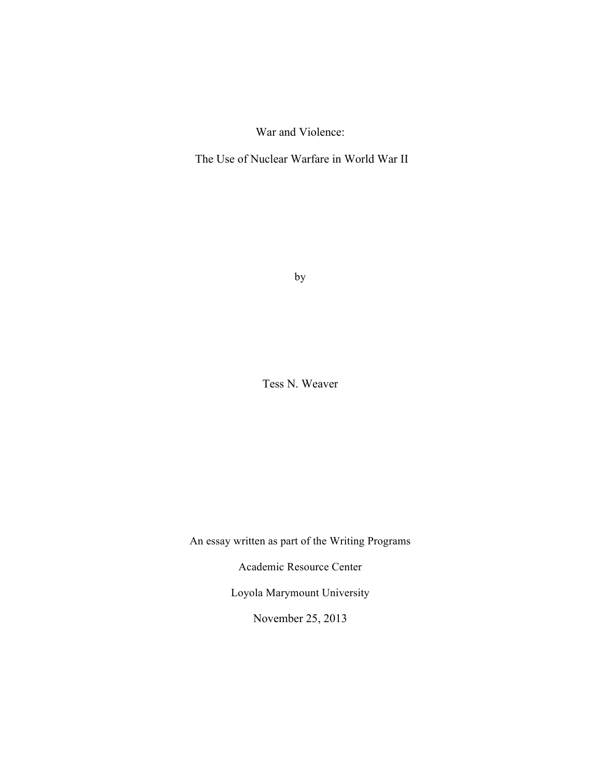War and Violence:

The Use of Nuclear Warfare in World War II

by

Tess N. Weaver

An essay written as part of the Writing Programs

Academic Resource Center

Loyola Marymount University

November 25, 2013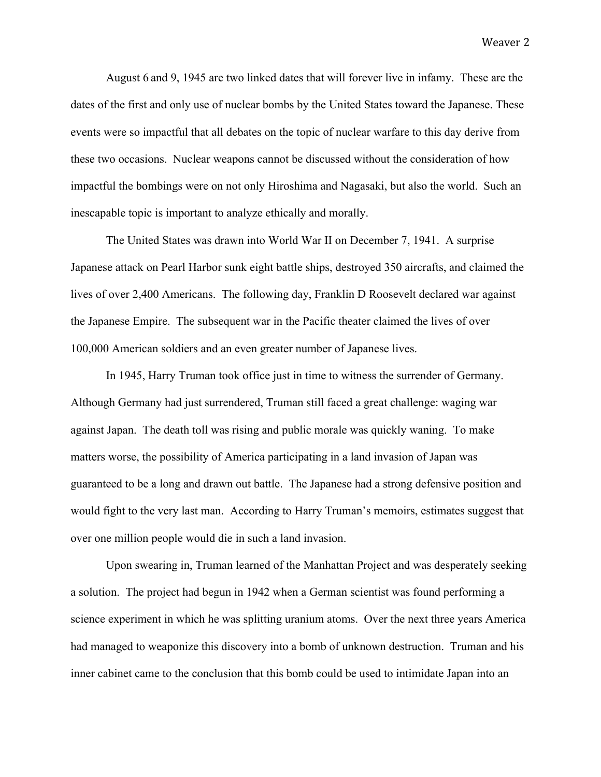August 6 and 9, 1945 are two linked dates that will forever live in infamy. These are the dates of the first and only use of nuclear bombs by the United States toward the Japanese. These events were so impactful that all debates on the topic of nuclear warfare to this day derive from these two occasions. Nuclear weapons cannot be discussed without the consideration of how impactful the bombings were on not only Hiroshima and Nagasaki, but also the world. Such an inescapable topic is important to analyze ethically and morally.

The United States was drawn into World War II on December 7, 1941. A surprise Japanese attack on Pearl Harbor sunk eight battle ships, destroyed 350 aircrafts, and claimed the lives of over 2,400 Americans. The following day, Franklin D Roosevelt declared war against the Japanese Empire. The subsequent war in the Pacific theater claimed the lives of over 100,000 American soldiers and an even greater number of Japanese lives.

In 1945, Harry Truman took office just in time to witness the surrender of Germany. Although Germany had just surrendered, Truman still faced a great challenge: waging war against Japan. The death toll was rising and public morale was quickly waning. To make matters worse, the possibility of America participating in a land invasion of Japan was guaranteed to be a long and drawn out battle. The Japanese had a strong defensive position and would fight to the very last man. According to Harry Truman's memoirs, estimates suggest that over one million people would die in such a land invasion.

Upon swearing in, Truman learned of the Manhattan Project and was desperately seeking a solution. The project had begun in 1942 when a German scientist was found performing a science experiment in which he was splitting uranium atoms. Over the next three years America had managed to weaponize this discovery into a bomb of unknown destruction. Truman and his inner cabinet came to the conclusion that this bomb could be used to intimidate Japan into an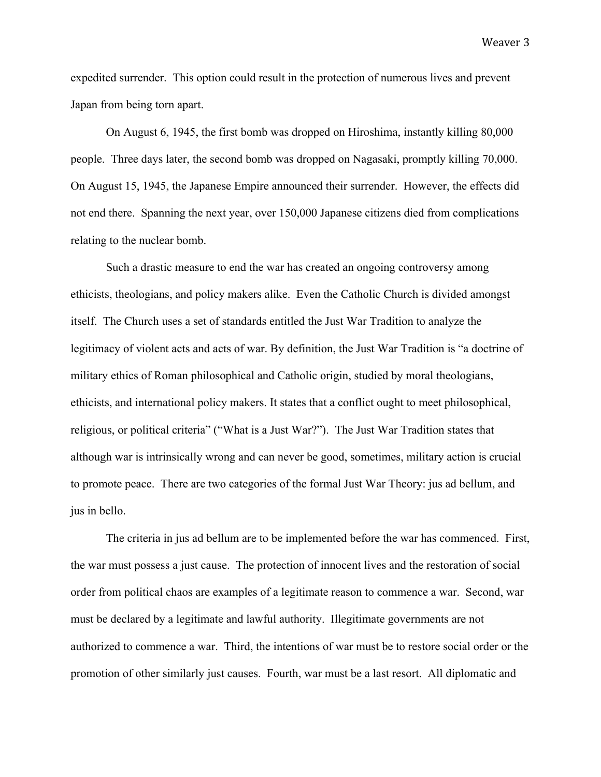expedited surrender. This option could result in the protection of numerous lives and prevent Japan from being torn apart.

On August 6, 1945, the first bomb was dropped on Hiroshima, instantly killing 80,000 people. Three days later, the second bomb was dropped on Nagasaki, promptly killing 70,000. On August 15, 1945, the Japanese Empire announced their surrender. However, the effects did not end there. Spanning the next year, over 150,000 Japanese citizens died from complications relating to the nuclear bomb.

Such a drastic measure to end the war has created an ongoing controversy among ethicists, theologians, and policy makers alike. Even the Catholic Church is divided amongst itself. The Church uses a set of standards entitled the Just War Tradition to analyze the legitimacy of violent acts and acts of war. By definition, the Just War Tradition is "a doctrine of military ethics of Roman philosophical and Catholic origin, studied by moral theologians, ethicists, and international policy makers. It states that a conflict ought to meet philosophical, religious, or political criteria" ("What is a Just War?"). The Just War Tradition states that although war is intrinsically wrong and can never be good, sometimes, military action is crucial to promote peace. There are two categories of the formal Just War Theory: jus ad bellum, and jus in bello.

The criteria in jus ad bellum are to be implemented before the war has commenced. First, the war must possess a just cause. The protection of innocent lives and the restoration of social order from political chaos are examples of a legitimate reason to commence a war. Second, war must be declared by a legitimate and lawful authority. Illegitimate governments are not authorized to commence a war. Third, the intentions of war must be to restore social order or the promotion of other similarly just causes. Fourth, war must be a last resort. All diplomatic and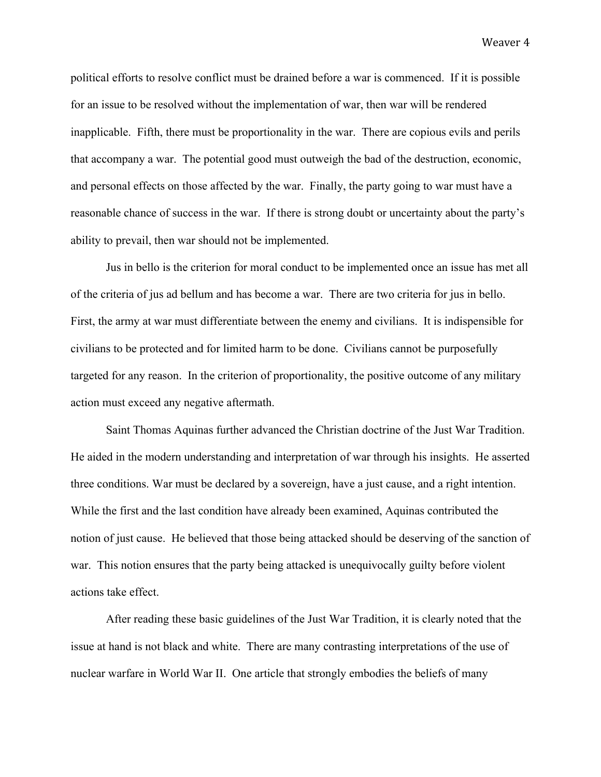political efforts to resolve conflict must be drained before a war is commenced. If it is possible for an issue to be resolved without the implementation of war, then war will be rendered inapplicable. Fifth, there must be proportionality in the war. There are copious evils and perils that accompany a war. The potential good must outweigh the bad of the destruction, economic, and personal effects on those affected by the war. Finally, the party going to war must have a reasonable chance of success in the war. If there is strong doubt or uncertainty about the party's ability to prevail, then war should not be implemented.

Jus in bello is the criterion for moral conduct to be implemented once an issue has met all of the criteria of jus ad bellum and has become a war. There are two criteria for jus in bello. First, the army at war must differentiate between the enemy and civilians. It is indispensible for civilians to be protected and for limited harm to be done. Civilians cannot be purposefully targeted for any reason. In the criterion of proportionality, the positive outcome of any military action must exceed any negative aftermath.

Saint Thomas Aquinas further advanced the Christian doctrine of the Just War Tradition. He aided in the modern understanding and interpretation of war through his insights. He asserted three conditions. War must be declared by a sovereign, have a just cause, and a right intention. While the first and the last condition have already been examined, Aquinas contributed the notion of just cause. He believed that those being attacked should be deserving of the sanction of war. This notion ensures that the party being attacked is unequivocally guilty before violent actions take effect.

After reading these basic guidelines of the Just War Tradition, it is clearly noted that the issue at hand is not black and white. There are many contrasting interpretations of the use of nuclear warfare in World War II. One article that strongly embodies the beliefs of many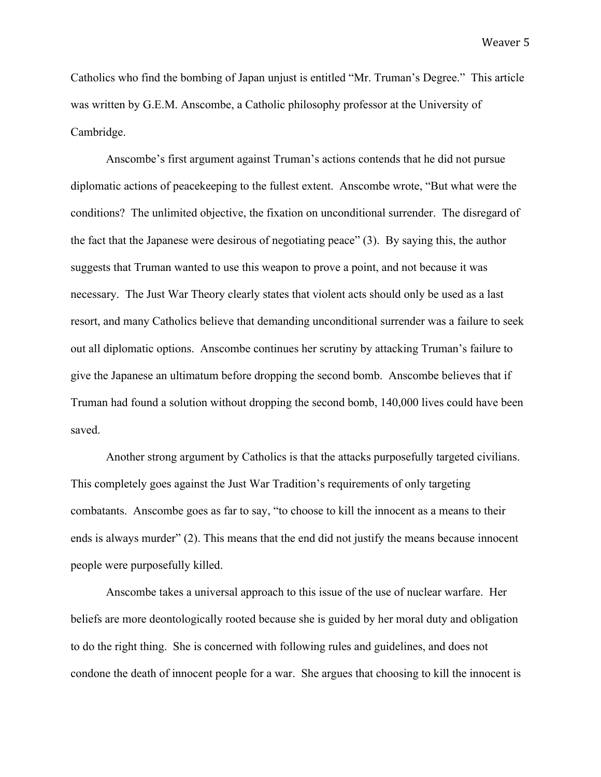Catholics who find the bombing of Japan unjust is entitled "Mr. Truman's Degree." This article was written by G.E.M. Anscombe, a Catholic philosophy professor at the University of Cambridge.

Anscombe's first argument against Truman's actions contends that he did not pursue diplomatic actions of peacekeeping to the fullest extent. Anscombe wrote, "But what were the conditions? The unlimited objective, the fixation on unconditional surrender. The disregard of the fact that the Japanese were desirous of negotiating peace" (3). By saying this, the author suggests that Truman wanted to use this weapon to prove a point, and not because it was necessary. The Just War Theory clearly states that violent acts should only be used as a last resort, and many Catholics believe that demanding unconditional surrender was a failure to seek out all diplomatic options. Anscombe continues her scrutiny by attacking Truman's failure to give the Japanese an ultimatum before dropping the second bomb. Anscombe believes that if Truman had found a solution without dropping the second bomb, 140,000 lives could have been saved.

Another strong argument by Catholics is that the attacks purposefully targeted civilians. This completely goes against the Just War Tradition's requirements of only targeting combatants. Anscombe goes as far to say, "to choose to kill the innocent as a means to their ends is always murder" (2). This means that the end did not justify the means because innocent people were purposefully killed.

Anscombe takes a universal approach to this issue of the use of nuclear warfare. Her beliefs are more deontologically rooted because she is guided by her moral duty and obligation to do the right thing. She is concerned with following rules and guidelines, and does not condone the death of innocent people for a war. She argues that choosing to kill the innocent is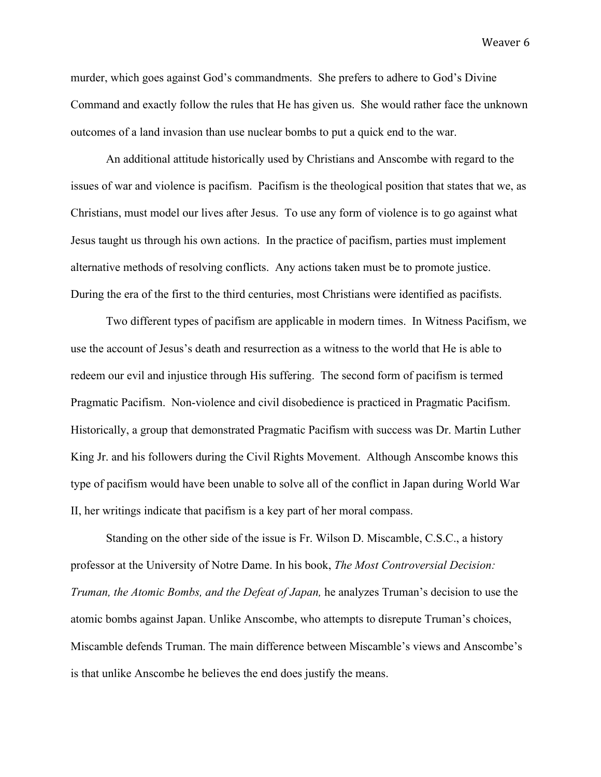murder, which goes against God's commandments. She prefers to adhere to God's Divine Command and exactly follow the rules that He has given us. She would rather face the unknown outcomes of a land invasion than use nuclear bombs to put a quick end to the war.

An additional attitude historically used by Christians and Anscombe with regard to the issues of war and violence is pacifism. Pacifism is the theological position that states that we, as Christians, must model our lives after Jesus. To use any form of violence is to go against what Jesus taught us through his own actions. In the practice of pacifism, parties must implement alternative methods of resolving conflicts. Any actions taken must be to promote justice. During the era of the first to the third centuries, most Christians were identified as pacifists.

Two different types of pacifism are applicable in modern times. In Witness Pacifism, we use the account of Jesus's death and resurrection as a witness to the world that He is able to redeem our evil and injustice through His suffering. The second form of pacifism is termed Pragmatic Pacifism. Non-violence and civil disobedience is practiced in Pragmatic Pacifism. Historically, a group that demonstrated Pragmatic Pacifism with success was Dr. Martin Luther King Jr. and his followers during the Civil Rights Movement. Although Anscombe knows this type of pacifism would have been unable to solve all of the conflict in Japan during World War II, her writings indicate that pacifism is a key part of her moral compass.

Standing on the other side of the issue is Fr. Wilson D. Miscamble, C.S.C., a history professor at the University of Notre Dame. In his book, *The Most Controversial Decision: Truman, the Atomic Bombs, and the Defeat of Japan,* he analyzes Truman's decision to use the atomic bombs against Japan. Unlike Anscombe, who attempts to disrepute Truman's choices, Miscamble defends Truman. The main difference between Miscamble's views and Anscombe's is that unlike Anscombe he believes the end does justify the means.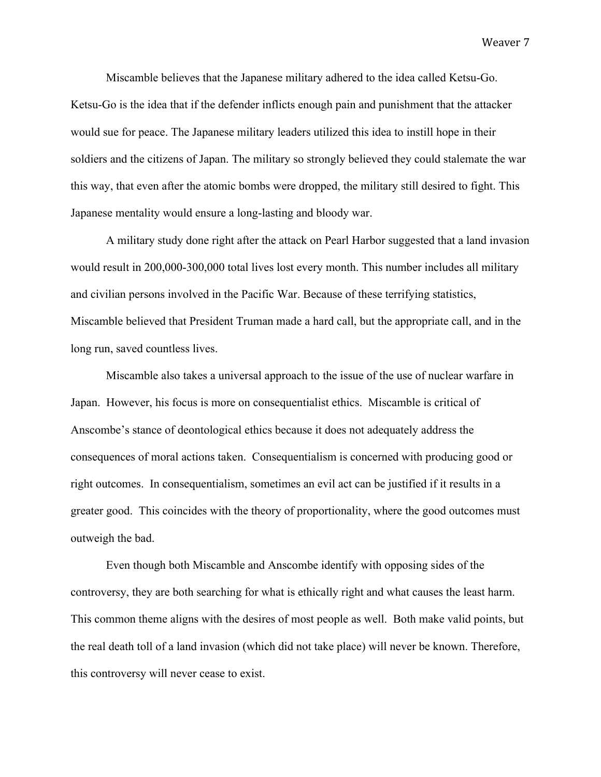Miscamble believes that the Japanese military adhered to the idea called Ketsu-Go. Ketsu-Go is the idea that if the defender inflicts enough pain and punishment that the attacker would sue for peace. The Japanese military leaders utilized this idea to instill hope in their soldiers and the citizens of Japan. The military so strongly believed they could stalemate the war this way, that even after the atomic bombs were dropped, the military still desired to fight. This Japanese mentality would ensure a long-lasting and bloody war.

A military study done right after the attack on Pearl Harbor suggested that a land invasion would result in 200,000-300,000 total lives lost every month. This number includes all military and civilian persons involved in the Pacific War. Because of these terrifying statistics, Miscamble believed that President Truman made a hard call, but the appropriate call, and in the long run, saved countless lives.

Miscamble also takes a universal approach to the issue of the use of nuclear warfare in Japan. However, his focus is more on consequentialist ethics. Miscamble is critical of Anscombe's stance of deontological ethics because it does not adequately address the consequences of moral actions taken. Consequentialism is concerned with producing good or right outcomes. In consequentialism, sometimes an evil act can be justified if it results in a greater good. This coincides with the theory of proportionality, where the good outcomes must outweigh the bad.

Even though both Miscamble and Anscombe identify with opposing sides of the controversy, they are both searching for what is ethically right and what causes the least harm. This common theme aligns with the desires of most people as well. Both make valid points, but the real death toll of a land invasion (which did not take place) will never be known. Therefore, this controversy will never cease to exist.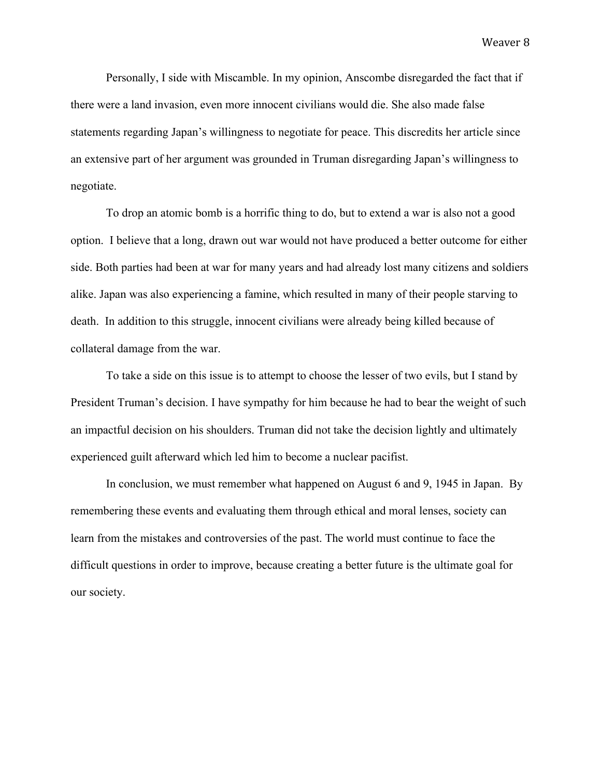Personally, I side with Miscamble. In my opinion, Anscombe disregarded the fact that if there were a land invasion, even more innocent civilians would die. She also made false statements regarding Japan's willingness to negotiate for peace. This discredits her article since an extensive part of her argument was grounded in Truman disregarding Japan's willingness to negotiate.

To drop an atomic bomb is a horrific thing to do, but to extend a war is also not a good option. I believe that a long, drawn out war would not have produced a better outcome for either side. Both parties had been at war for many years and had already lost many citizens and soldiers alike. Japan was also experiencing a famine, which resulted in many of their people starving to death. In addition to this struggle, innocent civilians were already being killed because of collateral damage from the war.

To take a side on this issue is to attempt to choose the lesser of two evils, but I stand by President Truman's decision. I have sympathy for him because he had to bear the weight of such an impactful decision on his shoulders. Truman did not take the decision lightly and ultimately experienced guilt afterward which led him to become a nuclear pacifist.

In conclusion, we must remember what happened on August 6 and 9, 1945 in Japan. By remembering these events and evaluating them through ethical and moral lenses, society can learn from the mistakes and controversies of the past. The world must continue to face the difficult questions in order to improve, because creating a better future is the ultimate goal for our society.